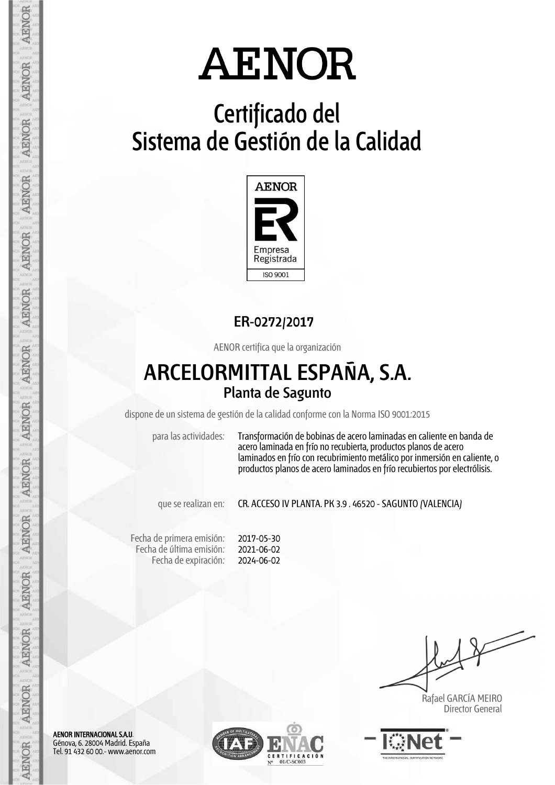## **Certificado del Sistema de Gestión de la Calidad**



### **ER-0272/2017**

AENOR certifica que la organización

### **ARCELORMITTAL ESPAÑA, S.A. Planta de Sagunto**

dispone de un sistema de gestión de la calidad conforme con la Norma ISO 9001:2015

para las actividades: Transformación de bobinas de acero laminadas en caliente en banda de acero laminada en frío no recubierta, productos planos de acero laminados en frío con recubrimiento metálico por inmersión en caliente, o productos planos de acero laminados en frío recubiertos por electrólisis.

que se realizan en: CR. ACCESO IV PLANTA. PK 3.9 . 46520 - SAGUNTO (VALENCIA)

Fecha de primera emisión: Fecha de última emisión: Fecha de expiración:

2017-05-30 2021-06-02 2024-06-02

 Rafael GARCÍA MEIRO Director General



AENOR INTERNACIONAL S.A.U. Génova, 6. 28004 Madrid. España Tel. 91 432 60 00.- www.aenor.com